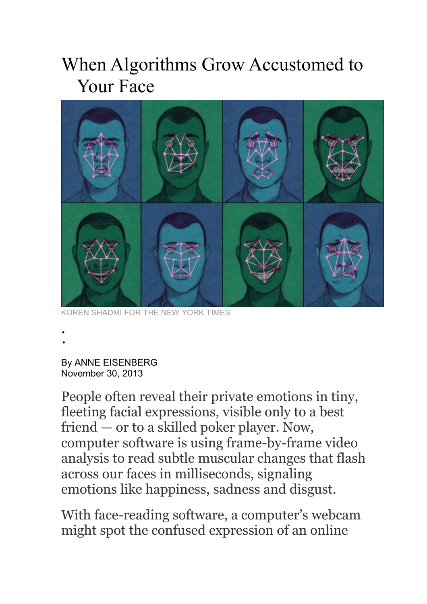## When Algorithms Grow Accustomed to Your Face



KOREN SHADMI FOR THE NEW YORK TIMES

•

•

By ANNE EISENBERG November 30, 2013

People often reveal their private emotions in tiny, fleeting facial expressions, visible only to a best friend — or to a skilled poker player. Now, computer software is using frame-by-frame video analysis to read subtle muscular changes that flash across our faces in milliseconds, signaling emotions like happiness, sadness and disgust.

With face-reading software, a computer's webcam might spot the confused expression of an online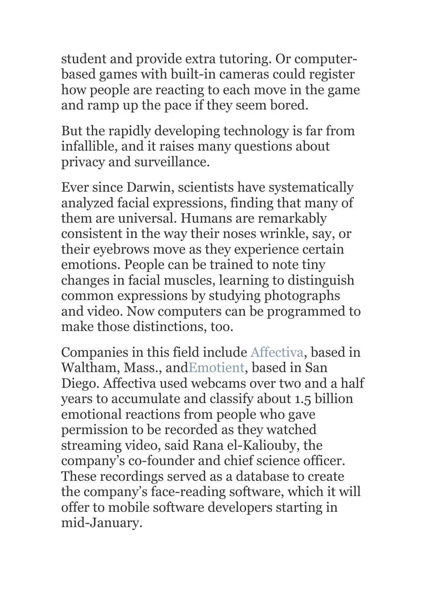student and provide extra tutoring. Or computerbased games with built-in cameras could register how people are reacting to each move in the game and ramp up the pace if they seem bored.

But the rapidly developing technology is far from infallible, and it raises many questions about privacy and surveillance.

Ever since Darwin, scientists have systematically analyzed facial expressions, finding that many of them are universal. Humans are remarkably consistent in the way their noses wrinkle, say, or their eyebrows move as they experience certain emotions. People can be trained to note tiny changes in facial muscles, learning to distinguish common expressions by studying photographs and video. Now computers can be programmed to make those distinctions, too.

Companies in this field include [Affectiva,](http://www.affdex.com/) based in Waltham, Mass., an[dEmotient,](http://www.emotient.com/) based in San Diego. Affectiva used webcams over two and a half years to accumulate and classify about 1.5 billion emotional reactions from people who gave permission to be recorded as they watched streaming video, said Rana el-Kaliouby, the company's co-founder and chief science officer. These recordings served as a database to create the company's face-reading software, which it will offer to mobile software developers starting in mid-January.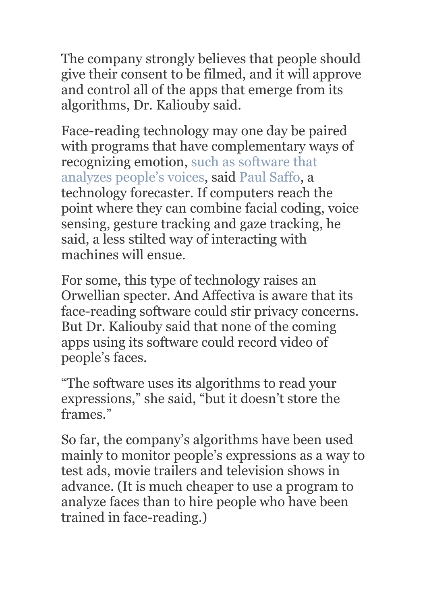The company strongly believes that people should give their consent to be filmed, and it will approve and control all of the apps that emerge from its algorithms, Dr. Kaliouby said.

Face-reading technology may one day be paired with programs that have complementary ways of recognizing emotion, [such as software that](http://www.nytimes.com/2013/10/13/business/in-a-mood-call-center-agents-can-tell.html) [analyzes people's voices,](http://www.nytimes.com/2013/10/13/business/in-a-mood-call-center-agents-can-tell.html) said [Paul Saffo,](http://www.saffo.com/) a technology forecaster. If computers reach the point where they can combine facial coding, voice sensing, gesture tracking and gaze tracking, he said, a less stilted way of interacting with machines will ensue.

For some, this type of technology raises an Orwellian specter. And Affectiva is aware that its face-reading software could stir privacy concerns. But Dr. Kaliouby said that none of the coming apps using its software could record video of people's faces.

"The software uses its algorithms to read your expressions," she said, "but it doesn't store the frames."

So far, the company's algorithms have been used mainly to monitor people's expressions as a way to test ads, movie trailers and television shows in advance. (It is much cheaper to use a program to analyze faces than to hire people who have been trained in face-reading.)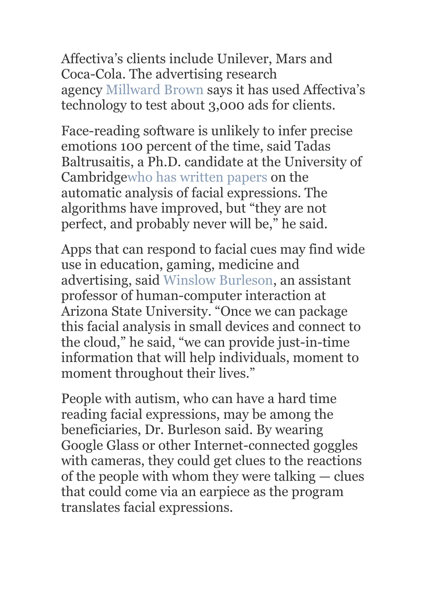Affectiva's clients include Unilever, Mars and Coca-Cola. The advertising research agency [Millward Brown](http://www.millwardbrown.com/Home.aspx) says it has used Affectiva's technology to test about 3,000 ads for clients.

Face-reading software is unlikely to infer precise emotions 100 percent of the time, said Tadas Baltrusaitis, a Ph.D. candidate at the University of Cambridg[ewho has written papers](http://bit.ly/1gppfTF) on the automatic analysis of facial expressions. The algorithms have improved, but "they are not perfect, and probably never will be," he said.

Apps that can respond to facial cues may find wide use in education, gaming, medicine and advertising, said [Winslow Burleson,](http://cidse.engineering.asu.edu/directory/burleson-winslow/) an assistant professor of human-computer interaction at Arizona State University. "Once we can package this facial analysis in small devices and connect to the cloud," he said, "we can provide just-in-time information that will help individuals, moment to moment throughout their lives."

People with autism, who can have a hard time reading facial expressions, may be among the beneficiaries, Dr. Burleson said. By wearing Google Glass or other Internet-connected goggles with cameras, they could get clues to the reactions of the people with whom they were talking — clues that could come via an earpiece as the program translates facial expressions.